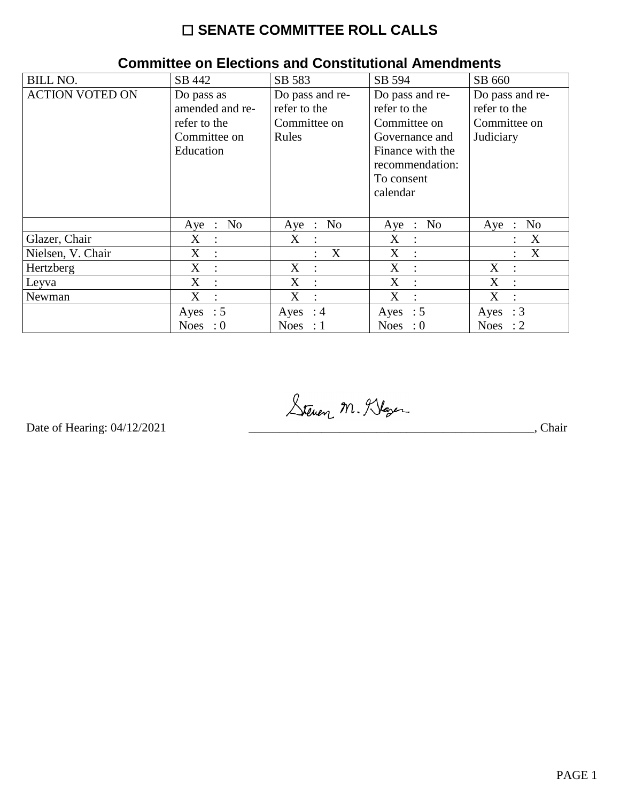## ☐ **SENATE COMMITTEE ROLL CALLS**

| <b>BILL NO.</b>        | SB 442                              | SB 583                                    | SB 594              | SB 660                        |
|------------------------|-------------------------------------|-------------------------------------------|---------------------|-------------------------------|
| <b>ACTION VOTED ON</b> | Do pass as                          | Do pass and re-                           | Do pass and re-     | Do pass and re-               |
|                        | amended and re-                     | refer to the                              | refer to the        | refer to the                  |
|                        | refer to the                        | Committee on                              | Committee on        | Committee on                  |
|                        | Committee on                        | Rules                                     | Governance and      | Judiciary                     |
|                        | Education                           |                                           | Finance with the    |                               |
|                        |                                     |                                           | recommendation:     |                               |
|                        |                                     |                                           | To consent          |                               |
|                        |                                     |                                           | calendar            |                               |
|                        |                                     |                                           |                     |                               |
|                        | No.<br>$Aye$ :                      | No<br>Aye :                               | Aye : No            | N <sub>0</sub><br>$Aye$ :     |
| Glazer, Chair          | $X_{\mathcal{E}}$<br>$\ddot{\cdot}$ | $X_{\mathcal{C}}$<br>$\ddot{\phantom{0}}$ | X<br>$\ddot{\cdot}$ | X                             |
| Nielsen, V. Chair      | $X_{\mathcal{E}}$<br>$\ddot{\cdot}$ | $\boldsymbol{\mathrm{X}}$                 | X<br>$\cdot$ :      | X<br>٠                        |
| Hertzberg              | $X_{\mathcal{E}}$<br>$\cdot$        | X<br>$\mathbb{R}^2$                       | X<br>$\cdot$ .      | X<br>÷                        |
| Leyva                  | X<br>$\ddot{\cdot}$                 | X<br>$\cdot$ :                            | X<br>$\ddot{\cdot}$ | X<br>$\bullet$                |
| Newman                 | X<br>$\ddot{\cdot}$                 | X<br>$\ddot{\phantom{a}}$                 | X<br>$\ddot{\cdot}$ | X                             |
|                        | Ayes : $5$                          | Ayes : $4$                                | Ayes : $5$          | Ayes : $3$                    |
|                        | <b>Noes</b><br>: 0                  | Noes : $1$                                | Noes : $0$          | <b>Noes</b><br>$\therefore$ 2 |

## **Committee on Elections and Constitutional Amendments**

Steven M. Klaser Date of Hearing: 04/12/2021 \_\_\_\_\_\_\_\_\_\_\_\_\_\_\_\_\_\_\_\_\_\_\_\_\_\_\_\_\_\_\_\_\_\_\_\_\_\_\_\_\_\_\_\_\_\_\_, Chair

Date of Hearing: 04/12/2021